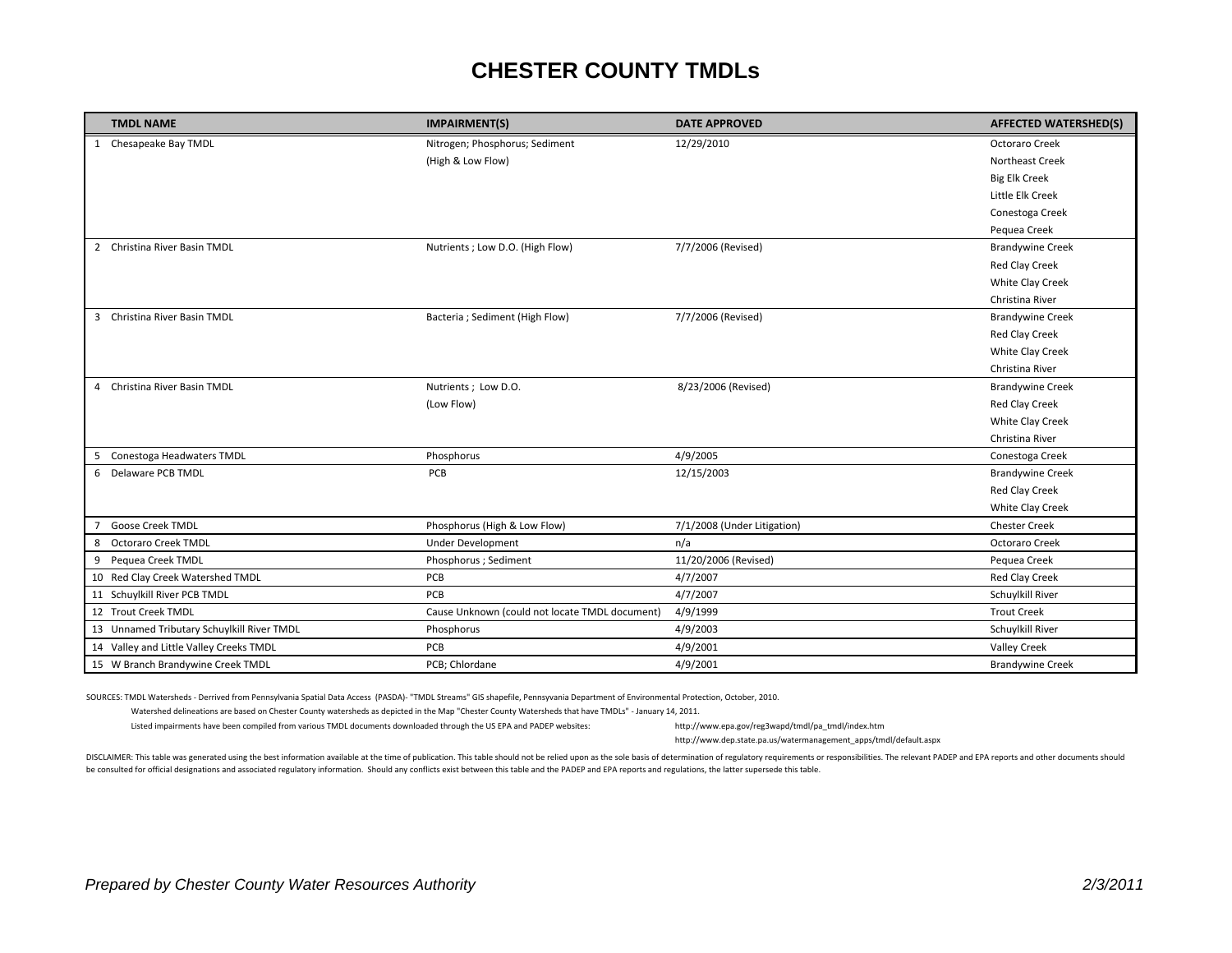## **CHESTER COUNTY TMDLs**

| <b>TMDL NAME</b>                           | <b>IMPAIRMENT(S)</b>                           | <b>DATE APPROVED</b>        | <b>AFFECTED WATERSHED(S)</b> |
|--------------------------------------------|------------------------------------------------|-----------------------------|------------------------------|
| 1 Chesapeake Bay TMDL                      | Nitrogen; Phosphorus; Sediment                 | 12/29/2010                  | Octoraro Creek               |
|                                            | (High & Low Flow)                              |                             | <b>Northeast Creek</b>       |
|                                            |                                                |                             | <b>Big Elk Creek</b>         |
|                                            |                                                |                             | Little Elk Creek             |
|                                            |                                                |                             | Conestoga Creek              |
|                                            |                                                |                             | Pequea Creek                 |
| 2 Christina River Basin TMDL               | Nutrients; Low D.O. (High Flow)                | 7/7/2006 (Revised)          | <b>Brandywine Creek</b>      |
|                                            |                                                |                             | <b>Red Clay Creek</b>        |
|                                            |                                                |                             | White Clay Creek             |
|                                            |                                                |                             | Christina River              |
| 3 Christina River Basin TMDL               | Bacteria ; Sediment (High Flow)                | 7/7/2006 (Revised)          | <b>Brandywine Creek</b>      |
|                                            |                                                |                             | Red Clay Creek               |
|                                            |                                                |                             | White Clay Creek             |
|                                            |                                                |                             | Christina River              |
| 4 Christina River Basin TMDL               | Nutrients; Low D.O.                            | 8/23/2006 (Revised)         | <b>Brandywine Creek</b>      |
|                                            | (Low Flow)                                     |                             | Red Clay Creek               |
|                                            |                                                |                             | White Clay Creek             |
|                                            |                                                |                             | Christina River              |
| 5 Conestoga Headwaters TMDL                | Phosphorus                                     | 4/9/2005                    | Conestoga Creek              |
| 6 Delaware PCB TMDL                        | PCB                                            | 12/15/2003                  | <b>Brandywine Creek</b>      |
|                                            |                                                |                             | <b>Red Clay Creek</b>        |
|                                            |                                                |                             | White Clay Creek             |
| Goose Creek TMDL<br>7                      | Phosphorus (High & Low Flow)                   | 7/1/2008 (Under Litigation) | <b>Chester Creek</b>         |
| <b>Octoraro Creek TMDL</b><br>8            | <b>Under Development</b>                       | n/a                         | Octoraro Creek               |
| 9 Pequea Creek TMDL                        | Phosphorus; Sediment                           | 11/20/2006 (Revised)        | Pequea Creek                 |
| 10 Red Clay Creek Watershed TMDL           | PCB                                            | 4/7/2007                    | Red Clay Creek               |
| 11 Schuylkill River PCB TMDL               | PCB                                            | 4/7/2007                    | Schuylkill River             |
| 12 Trout Creek TMDL                        | Cause Unknown (could not locate TMDL document) | 4/9/1999                    | <b>Trout Creek</b>           |
| 13 Unnamed Tributary Schuylkill River TMDL | Phosphorus                                     | 4/9/2003                    | Schuylkill River             |
| 14 Valley and Little Valley Creeks TMDL    | PCB                                            | 4/9/2001                    | <b>Valley Creek</b>          |
| 15 W Branch Brandywine Creek TMDL          | PCB: Chlordane                                 | 4/9/2001                    | <b>Brandywine Creek</b>      |

SOURCES: TMDL Watersheds ‐ Derrived from Pennsylvania Spatial Data Access (PASDA)‐ "TMDL Streams" GIS shapefile, Pennsyvania Department of Environmental Protection, October, 2010.

Watershed delineations are based on Chester County watersheds as depicted in the Map "Chester County Watersheds that have TMDLs" ‐ January 14, 2011.

Listed impairments have been compiled from various TMDL documents downloaded through the US EPA and PADEP websites: [http://www.epa.gov/reg3wapd/tmdl/pa](http://www.epa.gov/reg3wapd/tmdl/pa_tmdl/index.htm)\_[tmdl/index.htm](http://www.epa.gov/reg3wapd/tmdl/pa_tmdl/index.htm)

http://www.dep.state.pa.us/watermanagement\_apps/tmdl/default.aspx

DISCLAIMER: This table was generated using the best information available at the time of publication. This table should not be relied upon as the sole basis of determination of regulatory requirements or responsibilities. be consulted for official designations and associated regulatory information. Should any conflicts exist between this table and the PADEP and EPA reports and regulations, the latter supersede this table.